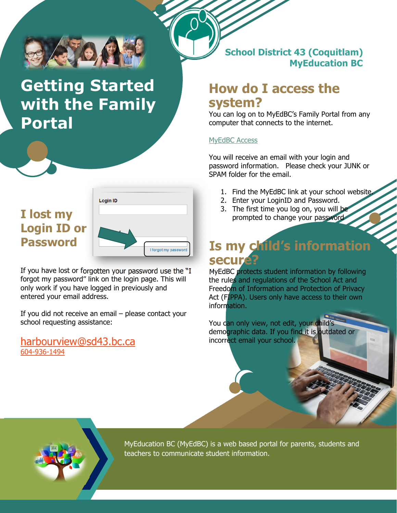

# **Getting Started with the Family Portal**

### **I lost my Login ID or Password**



If you have lost or forgotten your password use the "I forgot my password" link on the login page. This will only work if you have logged in previously and entered your email address.

If you did not receive an email – please contact your school requesting assistance:

harbourview@sd43.bc.ca 604-936-1494

**School District 43 (Coquitlam) MyEducation BC** 

### **How do I access the system?**

You can log on to MyEdBC's Family Portal from any computer that connects to the internet.

#### MyEdBC Access

You will receive an email with your login and password information. Please check your JUNK or SPAM folder for the email.

- 1. Find the MyEdBC link at your school website.
- 2. Enter your LoginID and Password.
- 3. The first time you log on, you will be prompted to change your password

## **Is my child's information secure?**

MyEdBC protects student information by following the rules and regulations of the School Act and Freedom of Information and Protection of Privacy Act (FIPPA). Users only have access to their own information.

You can only view, not edit, your child's demographic data. If you find it is outdated or incorrect email your school.



MyEducation BC (MyEdBC) is a web based portal for parents, students and teachers to communicate student information.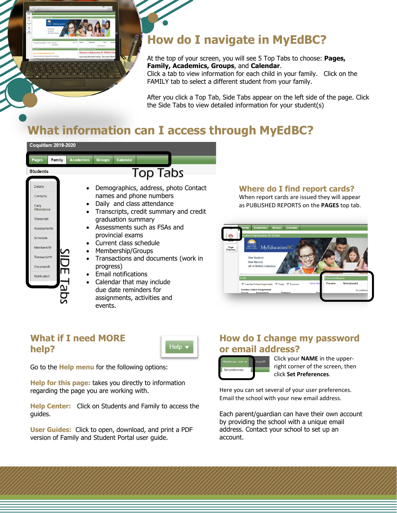

### **How do I navigate in MyEdBC?**

At the top of your screen, you will see 5 Top Tabs to choose: **Pages, Family, Academics, Groups**, and **Calendar**. Click a tab to view information for each child in your family. Click on the

FAMILY tab to select a different student from your family.

After you click a Top Tab, Side Tabs appear on the left side of the page. Click the Side Tabs to view detailed information for your student(s)

### **What information can I access through MyEdBC?**

| <b>Coquitlam 2019-2020</b>                                                |                                                                                                                                                               |                                                                                                                                                                                                              |
|---------------------------------------------------------------------------|---------------------------------------------------------------------------------------------------------------------------------------------------------------|--------------------------------------------------------------------------------------------------------------------------------------------------------------------------------------------------------------|
| <b>Family</b><br>Pages                                                    | <b>Academics</b><br><b>Calendar</b><br><b>Groups</b>                                                                                                          |                                                                                                                                                                                                              |
| <b>Students</b>                                                           | <b>Top Tabs</b>                                                                                                                                               |                                                                                                                                                                                                              |
| <b>Details</b><br>Contacts<br><b>Daily</b><br>Attendance<br>Transcript    | Demographics, address, photo Contact<br>names and phone numbers<br>Daily and class attendance<br>Transcripts, credit summary and credit<br>graduation summary | Where do I find report cards?<br>When report cards are issued they will appear<br>as PUBLISHED REPORTS on the PAGES top tab.                                                                                 |
| Assessments<br>Schedule<br>Membership<br>Transactions<br><b>Documents</b> | Assessments such as FSAs and<br>provincial exams<br>Current class schedule<br>Membership/Groups<br>Transactions and documents (work in<br>progress)           | <b>Academics</b><br>Calendar<br><b>Groups</b><br>come to MyEducation BC SDTest<br>MyEducationBC<br><b>BRITISH</b><br>COLUMBIA<br>Page<br>Directory<br>One Student.<br>One Record.<br>All of British Columbia |
| Notification                                                              | Email notifications<br>Calendar that may include<br>due date reminders for<br>assignments, activities and<br>events.                                          | Published Reports<br>To Do<br>Week Vi<br><b>DateUploaded</b><br>Overdue Online Assignments C Today C Tomorrow<br><b>Overdue Online Assignments</b><br>No pu<br>Category                                      |

#### **What if I need MORE help?**

Help ·

Go to the **Help menu** for the following options:

**Help for this page:** takes you directly to information regarding the page you are working with.

**Help Center:** Click on Students and Family to access the guides.

**User Guides:** Click to open, download, and print a PDF version of Family and Student Portal user guide.

#### **How do I change my password or email address?**



Click your **NAME** in the upper‐ right corner of the screen, then click **Set Preferences**.

Here you can set several of your user preferences. Email the school with your new email address.

Each parent/guardian can have their own account by providing the school with a unique email address. Contact your school to set up an account.